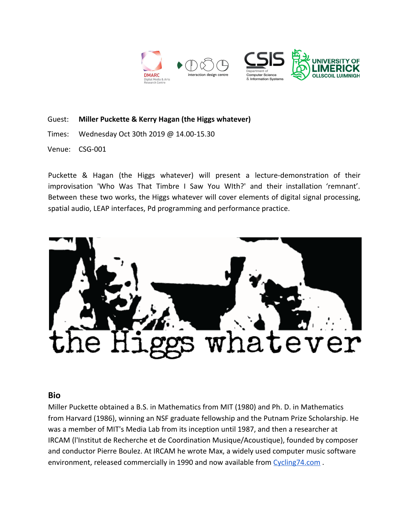

Guest: **Miller Puckette & Kerry Hagan (the Higgs whatever)**

Times: Wednesday Oct 30th 2019 @ 14.00-15.30

Venue: CSG-001

Puckette & Hagan (the Higgs whatever) will present a lecture-demonstration of their improvisation 'Who Was That Timbre I Saw You WIth?' and their installation 'remnant'. Between these two works, the Higgs whatever will cover elements of digital signal processing, spatial audio, LEAP interfaces, Pd programming and performance practice.



## **Bio**

Miller Puckette obtained a B.S. in Mathematics from MIT (1980) and Ph. D. in Mathematics from Harvard (1986), winning an NSF graduate fellowship and the Putnam Prize Scholarship. He was a member of MIT's Media Lab from its inception until 1987, and then a researcher at IRCAM (l'Institut de Recherche et de Coordination Musique/Acoustique), founded by composer and conductor Pierre Boulez. At IRCAM he wrote Max, a widely used computer music software environment, released commercially in 1990 and now available from Cycling74.com.